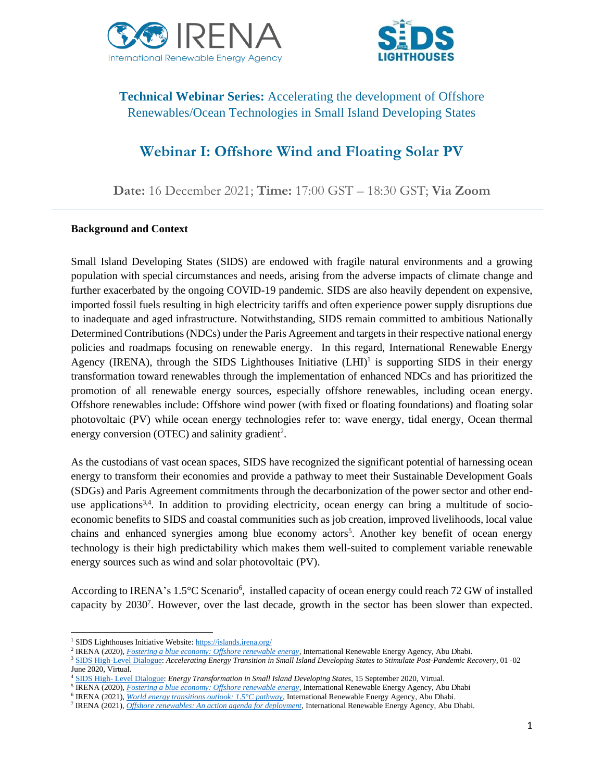



# **Technical Webinar Series:** Accelerating the development of Offshore Renewables/Ocean Technologies in Small Island Developing States

# **Webinar I: Offshore Wind and Floating Solar PV**

**Date:** 16 December 2021; **Time:** 17:00 GST – 18:30 GST; **Via Zoom**

#### **Background and Context**

Small Island Developing States (SIDS) are endowed with fragile natural environments and a growing population with special circumstances and needs, arising from the adverse impacts of climate change and further exacerbated by the ongoing COVID-19 pandemic. SIDS are also heavily dependent on expensive, imported fossil fuels resulting in high electricity tariffs and often experience power supply disruptions due to inadequate and aged infrastructure. Notwithstanding, SIDS remain committed to ambitious Nationally Determined Contributions (NDCs) under the Paris Agreement and targets in their respective national energy policies and roadmaps focusing on renewable energy. In this regard, International Renewable Energy Agency (IRENA), through the SIDS Lighthouses Initiative  $(LH I)^1$  is supporting SIDS in their energy transformation toward renewables through the implementation of enhanced NDCs and has prioritized the promotion of all renewable energy sources, especially offshore renewables, including ocean energy. Offshore renewables include: Offshore wind power (with fixed or floating foundations) and floating solar photovoltaic (PV) while ocean energy technologies refer to: wave energy, tidal energy, Ocean thermal energy conversion (OTEC) and salinity gradient<sup>2</sup>.

As the custodians of vast ocean spaces, SIDS have recognized the significant potential of harnessing ocean energy to transform their economies and provide a pathway to meet their Sustainable Development Goals (SDGs) and Paris Agreement commitments through the decarbonization of the power sector and other enduse applications<sup>3,4</sup>. In addition to providing electricity, ocean energy can bring a multitude of socioeconomic benefits to SIDS and coastal communities such as job creation, improved livelihoods, local value chains and enhanced synergies among blue economy actors<sup>5</sup>. Another key benefit of ocean energy technology is their high predictability which makes them well-suited to complement variable renewable energy sources such as wind and solar photovoltaic (PV).

According to IRENA's 1.5°C Scenario<sup>6</sup>, installed capacity of ocean energy could reach 72 GW of installed capacity by 2030<sup>7</sup>. However, over the last decade, growth in the sector has been slower than expected.

<sup>&</sup>lt;sup>1</sup> SIDS Lighthouses Initiative Website[: https://islands.irena.org/](https://islands.irena.org/)

<sup>2</sup> IRENA (2020), *[Fostering a blue economy: Offshore renewable energy](https://www.irena.org/publications/2020/Dec/Fostering-a-blue-economy-Offshore-renewable-energy)*, International Renewable Energy Agency, Abu Dhabi.

<sup>3</sup> [SIDS High-Level Dialogue:](https://www.irena.org/events/2020/Jun/SIDS-High-Level-Dialogue-with-AOSIS) *Accelerating Energy Transition in Small Island Developing States to Stimulate Post-Pandemic Recovery*, 01 -02 June 2020, Virtual.

<sup>4</sup> SIDS High- [Level Dialogue:](https://www.irena.org/events/2020/Sep/Energy-Transformation-in-Small-Island-Developing-States) *Energy Transformation in Small Island Developing States*, 15 September 2020, Virtual.

<sup>5</sup> IRENA (2020), *[Fostering a blue economy: Offshore renewable energy](https://www.irena.org/publications/2020/Dec/Fostering-a-blue-economy-Offshore-renewable-energy)*, International Renewable Energy Agency, Abu Dhabi

<sup>6</sup> IRENA (2021), *[World energy transitions outlook: 1.5°C pathway](https://www.irena.org/publications/2021/Jun/World-Energy-Transitions-Outlook)*, International Renewable Energy Agency, Abu Dhabi.

<sup>7</sup> IRENA (2021), *[Offshore renewables: An action agenda for deployment](https://irena.org/publications/2021/Jul/Offshore-Renewables-An-Action-Agenda-for-Deployment)*, International Renewable Energy Agency, Abu Dhabi.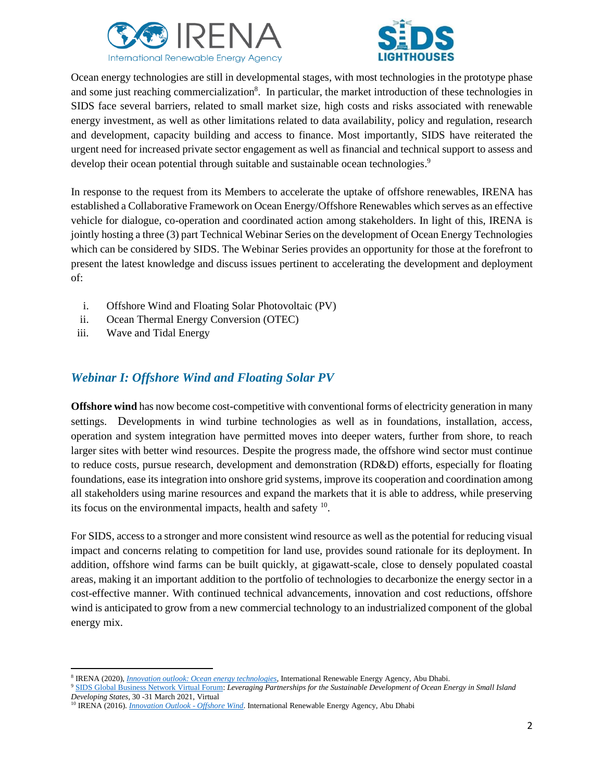



Ocean energy technologies are still in developmental stages, with most technologies in the prototype phase and some just reaching commercialization<sup>8</sup>. In particular, the market introduction of these technologies in SIDS face several barriers, related to small market size, high costs and risks associated with renewable energy investment, as well as other limitations related to data availability, policy and regulation, research and development, capacity building and access to finance. Most importantly, SIDS have reiterated the urgent need for increased private sector engagement as well as financial and technical support to assess and develop their ocean potential through suitable and sustainable ocean technologies.<sup>9</sup>

In response to the request from its Members to accelerate the uptake of offshore renewables, IRENA has established a Collaborative Framework on Ocean Energy/Offshore Renewables which serves as an effective vehicle for dialogue, co-operation and coordinated action among stakeholders. In light of this, IRENA is jointly hosting a three (3) part Technical Webinar Series on the development of Ocean Energy Technologies which can be considered by SIDS. The Webinar Series provides an opportunity for those at the forefront to present the latest knowledge and discuss issues pertinent to accelerating the development and deployment of:

- i. Offshore Wind and Floating Solar Photovoltaic (PV)
- ii. Ocean Thermal Energy Conversion (OTEC)
- iii. Wave and Tidal Energy

## *Webinar I: Offshore Wind and Floating Solar PV*

**Offshore wind** has now become cost-competitive with conventional forms of electricity generation in many settings. Developments in wind turbine technologies as well as in foundations, installation, access, operation and system integration have permitted moves into deeper waters, further from shore, to reach larger sites with better wind resources. Despite the progress made, the offshore wind sector must continue to reduce costs, pursue research, development and demonstration (RD&D) efforts, especially for floating foundations, ease its integration into onshore grid systems, improve its cooperation and coordination among all stakeholders using marine resources and expand the markets that it is able to address, while preserving its focus on the environmental impacts, health and safety <sup>10</sup>.

For SIDS, access to a stronger and more consistent wind resource as well as the potential for reducing visual impact and concerns relating to competition for land use, provides sound rationale for its deployment. In addition, offshore wind farms can be built quickly, at gigawatt-scale, close to densely populated coastal areas, making it an important addition to the portfolio of technologies to decarbonize the energy sector in a cost-effective manner. With continued technical advancements, innovation and cost reductions, offshore wind is anticipated to grow from a new commercial technology to an industrialized component of the global energy mix.

<sup>8</sup> IRENA (2020), *[Innovation outlook: Ocean energy technologies](https://www.irena.org/publications/2020/Dec/Innovation-Outlook-Ocean-Energy-Technologies)*, International Renewable Energy Agency, Abu Dhabi.

<sup>9</sup> [SIDS Global Business Network Virtual Forum:](https://www.un.org/ohrlls/zh/node/1882) *Leveraging Partnerships for the Sustainable Development of Ocean Energy in Small Island Developing States*, 30 -31 March 2021, Virtual

<sup>10</sup> IRENA (2016). *[Innovation Outlook](ps://www.irena.org/publications/2016/oct/innovation-outlook-offshore-wind) - Offshore Wind*. International Renewable Energy Agency, Abu Dhabi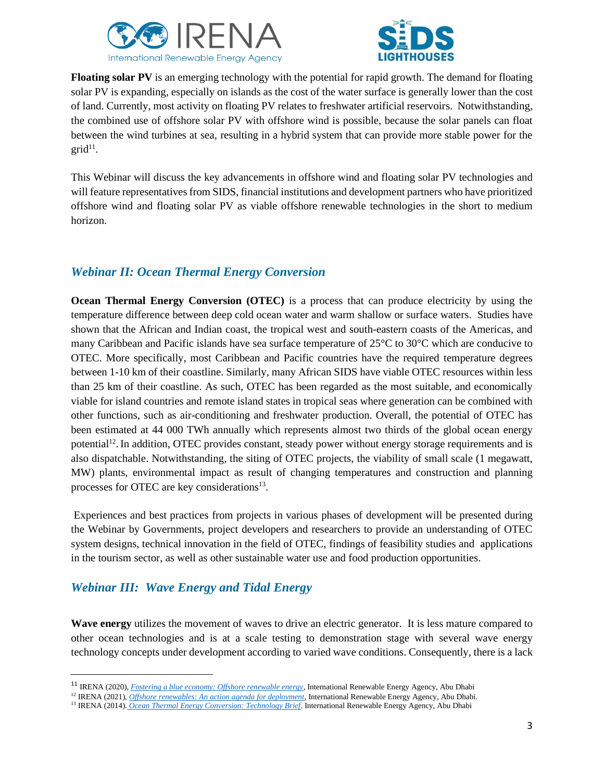



**Floating solar PV** is an emerging technology with the potential for rapid growth. The demand for floating solar PV is expanding, especially on islands as the cost of the water surface is generally lower than the cost of land. Currently, most activity on floating PV relates to freshwater artificial reservoirs. Notwithstanding, the combined use of offshore solar PV with offshore wind is possible, because the solar panels can float between the wind turbines at sea, resulting in a hybrid system that can provide more stable power for the  $grid<sup>11</sup>$ .

This Webinar will discuss the key advancements in offshore wind and floating solar PV technologies and will feature representatives from SIDS, financial institutions and development partners who have prioritized offshore wind and floating solar PV as viable offshore renewable technologies in the short to medium horizon.

## *Webinar II: Ocean Thermal Energy Conversion*

**Ocean Thermal Energy Conversion (OTEC)** is a process that can produce electricity by using the temperature difference between deep cold ocean water and warm shallow or surface waters. Studies have shown that the African and Indian coast, the tropical west and south-eastern coasts of the Americas, and many Caribbean and Pacific islands have sea surface temperature of 25°C to 30°C which are conducive to OTEC. More specifically, most Caribbean and Pacific countries have the required temperature degrees between 1-10 km of their coastline. Similarly, many African SIDS have viable OTEC resources within less than 25 km of their coastline. As such, OTEC has been regarded as the most suitable, and economically viable for island countries and remote island states in tropical seas where generation can be combined with other functions, such as air-conditioning and freshwater production. Overall, the potential of OTEC has been estimated at 44 000 TWh annually which represents almost two thirds of the global ocean energy potential<sup>12</sup>. In addition, OTEC provides constant, steady power without energy storage requirements and is also dispatchable. Notwithstanding, the siting of OTEC projects, the viability of small scale (1 megawatt, MW) plants, environmental impact as result of changing temperatures and construction and planning processes for OTEC are key considerations<sup>13</sup>.

Experiences and best practices from projects in various phases of development will be presented during the Webinar by Governments, project developers and researchers to provide an understanding of OTEC system designs, technical innovation in the field of OTEC, findings of feasibility studies and applications in the tourism sector, as well as other sustainable water use and food production opportunities.

## *Webinar III: Wave Energy and Tidal Energy*

**Wave energy** utilizes the movement of waves to drive an electric generator. It is less mature compared to other ocean technologies and is at a scale testing to demonstration stage with several wave energy technology concepts under development according to varied wave conditions. Consequently, there is a lack

<sup>11</sup> IRENA (2020), *[Fostering a blue economy: Offshore renewable energy](https://www.irena.org/publications/2020/Dec/Fostering-a-blue-economy-Offshore-renewable-energy)*, International Renewable Energy Agency, Abu Dhabi

<sup>&</sup>lt;sup>12</sup> IRENA (2021), *[Offshore renewables: An action agenda for deployment](https://irena.org/publications/2021/Jul/Offshore-Renewables-An-Action-Agenda-for-Deployment)*, International Renewable Energy Agency, Abu Dhabi.

<sup>13</sup> IRENA (2014). *[Ocean Thermal Energy Conversion: Technology Brief](https://www.irena.org/publications/2014/Jun/Ocean-Thermal-Energy-Conversion)*. International Renewable Energy Agency, Abu Dhabi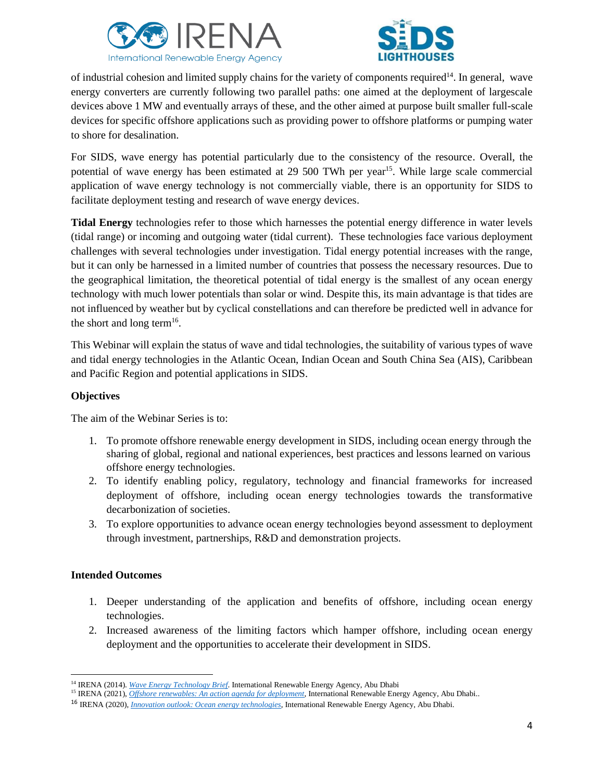



of industrial cohesion and limited supply chains for the variety of components required<sup>14</sup>. In general, wave energy converters are currently following two parallel paths: one aimed at the deployment of largescale devices above 1 MW and eventually arrays of these, and the other aimed at purpose built smaller full-scale devices for specific offshore applications such as providing power to offshore platforms or pumping water to shore for desalination.

For SIDS, wave energy has potential particularly due to the consistency of the resource. Overall, the potential of wave energy has been estimated at 29 500 TWh per year<sup>15</sup>. While large scale commercial application of wave energy technology is not commercially viable, there is an opportunity for SIDS to facilitate deployment testing and research of wave energy devices.

**Tidal Energy** technologies refer to those which harnesses the potential energy difference in water levels (tidal range) or incoming and outgoing water (tidal current). These technologies face various deployment challenges with several technologies under investigation. Tidal energy potential increases with the range, but it can only be harnessed in a limited number of countries that possess the necessary resources. Due to the geographical limitation, the theoretical potential of tidal energy is the smallest of any ocean energy technology with much lower potentials than solar or wind. Despite this, its main advantage is that tides are not influenced by weather but by cyclical constellations and can therefore be predicted well in advance for the short and long term<sup>16</sup>.

This Webinar will explain the status of wave and tidal technologies, the suitability of various types of wave and tidal energy technologies in the Atlantic Ocean, Indian Ocean and South China Sea (AIS), Caribbean and Pacific Region and potential applications in SIDS.

### **Objectives**

The aim of the Webinar Series is to:

- 1. To promote offshore renewable energy development in SIDS, including ocean energy through the sharing of global, regional and national experiences, best practices and lessons learned on various offshore energy technologies.
- 2. To identify enabling policy, regulatory, technology and financial frameworks for increased deployment of offshore, including ocean energy technologies towards the transformative decarbonization of societies.
- 3. To explore opportunities to advance ocean energy technologies beyond assessment to deployment through investment, partnerships, R&D and demonstration projects.

### **Intended Outcomes**

- 1. Deeper understanding of the application and benefits of offshore, including ocean energy technologies.
- 2. Increased awareness of the limiting factors which hamper offshore, including ocean energy deployment and the opportunities to accelerate their development in SIDS.

<sup>14</sup> IRENA (2014). *[Wave Energy Technology Brief](https://www.irena.org/-/media/Files/IRENA/Agency/Publication/2014/Wave-Energy_V4_web.pdf)*. International Renewable Energy Agency, Abu Dhabi

<sup>&</sup>lt;sup>15</sup> IRENA (2021), *[Offshore renewables: An action agenda for deployment](https://irena.org/publications/2021/Jul/Offshore-Renewables-An-Action-Agenda-for-Deployment)*, International Renewable Energy Agency, Abu Dhabi..

<sup>16</sup> IRENA (2020), *[Innovation outlook: Ocean energy technologies](https://www.irena.org/publications/2020/Dec/Innovation-Outlook-Ocean-Energy-Technologies)*, International Renewable Energy Agency, Abu Dhabi.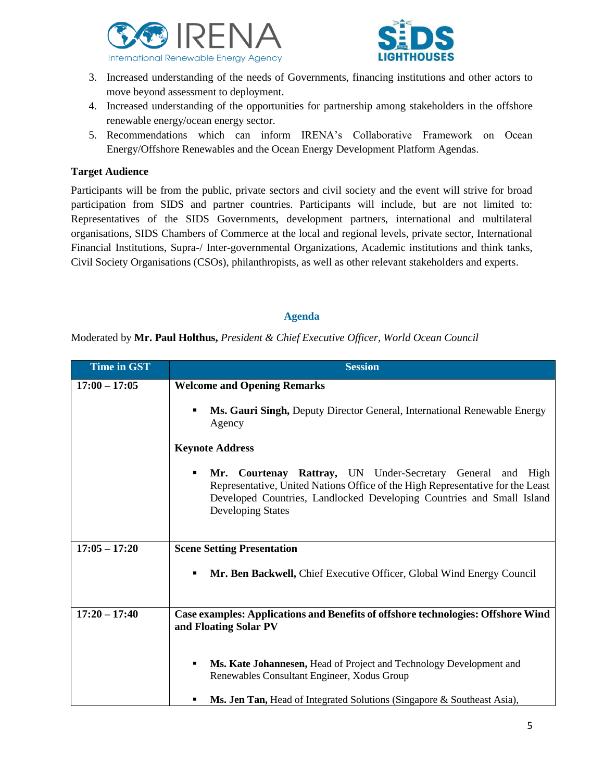



- 3. Increased understanding of the needs of Governments, financing institutions and other actors to move beyond assessment to deployment.
- 4. Increased understanding of the opportunities for partnership among stakeholders in the offshore renewable energy/ocean energy sector.
- 5. Recommendations which can inform IRENA's Collaborative Framework on Ocean Energy/Offshore Renewables and the Ocean Energy Development Platform Agendas.

#### **Target Audience**

Participants will be from the public, private sectors and civil society and the event will strive for broad participation from SIDS and partner countries. Participants will include, but are not limited to: Representatives of the SIDS Governments, development partners, international and multilateral organisations, SIDS Chambers of Commerce at the local and regional levels, private sector, International Financial Institutions, Supra-/ Inter-governmental Organizations, Academic institutions and think tanks, Civil Society Organisations (CSOs), philanthropists, as well as other relevant stakeholders and experts.

#### **Agenda**

Moderated by **Mr. Paul Holthus,** *President & Chief Executive Officer, World Ocean Council*

| <b>Time in GST</b> | <b>Session</b>                                                                                                                                                                                                                                  |
|--------------------|-------------------------------------------------------------------------------------------------------------------------------------------------------------------------------------------------------------------------------------------------|
| $17:00 - 17:05$    | <b>Welcome and Opening Remarks</b>                                                                                                                                                                                                              |
|                    | Ms. Gauri Singh, Deputy Director General, International Renewable Energy<br>Agency                                                                                                                                                              |
|                    | <b>Keynote Address</b>                                                                                                                                                                                                                          |
|                    | Mr. Courtenay Rattray, UN Under-Secretary General and High<br>п<br>Representative, United Nations Office of the High Representative for the Least<br>Developed Countries, Landlocked Developing Countries and Small Island<br>Developing States |
| $17:05 - 17:20$    | <b>Scene Setting Presentation</b>                                                                                                                                                                                                               |
|                    | Mr. Ben Backwell, Chief Executive Officer, Global Wind Energy Council<br>п                                                                                                                                                                      |
| $17:20 - 17:40$    | Case examples: Applications and Benefits of offshore technologies: Offshore Wind<br>and Floating Solar PV                                                                                                                                       |
|                    | Ms. Kate Johannesen, Head of Project and Technology Development and<br>Renewables Consultant Engineer, Xodus Group                                                                                                                              |
|                    | Ms. Jen Tan, Head of Integrated Solutions (Singapore & Southeast Asia),                                                                                                                                                                         |